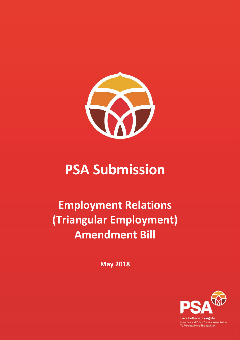

# **PSA Submission**

## **Employment Relations (Triangular Employment) Amendment Bill**

**May 2018**



For a better working life New Zealand Public Service Association<br>Te Pükenga Here Tikanga Mahi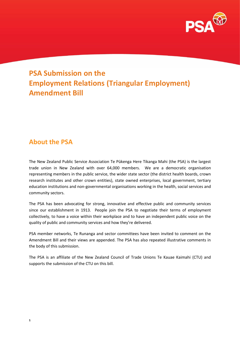

## **PSA Submission on the Employment Relations (Triangular Employment) Amendment Bill**

### **About the PSA**

The New Zealand Public Service Association Te Pūkenga Here Tikanga Mahi (the PSA) is the largest trade union in New Zealand with over 64,000 members. We are a democratic organisation representing members in the public service, the wider state sector (the district health boards, crown research institutes and other crown entities), state owned enterprises, local government, tertiary education institutions and non-governmental organisations working in the health, social services and community sectors.

The PSA has been advocating for strong, innovative and effective public and community services since our establishment in 1913. People join the PSA to negotiate their terms of employment collectively, to have a voice within their workplace and to have an independent public voice on the quality of public and community services and how they're delivered.

PSA member networks, Te Runanga and sector committees have been invited to comment on the Amendment Bill and their views are appended. The PSA has also repeated illustrative comments in the body of this submission.

The PSA is an affiliate of the New Zealand Council of Trade Unions Te Kauae Kaimahi (CTU) and supports the submission of the CTU on this bill.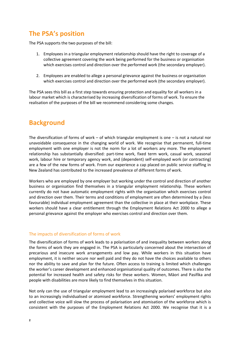## **The PSA's position**

The PSA supports the two purposes of the bill:

- 1. Employees in a triangular employment relationship should have the right to coverage of a collective agreement covering the work being performed for the business or organisation which exercises control and direction over the performed work (the secondary employer).
- 2. Employees are enabled to allege a personal grievance against the business or organisation which exercises control and direction over the performed work (the secondary employer).

The PSA sees this bill as a first step towards ensuring protection and equality for all workers in a labour market which is characterised by increasing diversification of forms of work. To ensure the realisation of the purposes of the bill we recommend considering some changes.

## **Background**

The diversification of forms of work – of which triangular employment is one  $-$  is not a natural nor unavoidable consequence in the changing world of work. We recognise that permanent, full-time employment with one employer is not the norm for a lot of workers any more. The employment relationship has substantially diversified: part-time work, fixed term work, casual work, seasonal work, labour hire or temporary agency work, and (dependent) self-employed work (or contracting) are a few of the new forms of work. From our experience a cap placed on public service staffing in New Zealand has contributed to the increased prevalence of different forms of work.

Workers who are employed by one employer but working under the control and direction of another business or organisation find themselves in a triangular employment relationship. These workers currently do not have automatic employment rights with the organisation which exercises control and direction over them. Their terms and conditions of employment are often determined by a (less favourable) individual employment agreement than the collective in place at their workplace. These workers should have a clear entitlement through the Employment Relations Act 2000 to allege a personal grievance against the employer who exercises control and direction over them.

#### The impacts of diversification of forms of work

The diversification of forms of work leads to a polarisation of and inequality between workers along the forms of work they are engaged in. The PSA is particularly concerned about the intersection of precarious and insecure work arrangements and low pay. While workers in this situation have employment, it is neither secure nor well paid and they do not have the choices available to others nor the ability to save and plan for the future. Often access to training is limited which challenges the worker's career development and enhanced organisational quality of outcomes. There is also the potential for increased health and safety risks for these workers. Women, Māori and Pasifika and people with disabilities are more likely to find themselves in this situation.

Not only can the use of triangular employment lead to an increasingly polarised workforce but also to an increasingly individualised or atomised workforce. Strengthening workers' employment rights and collective voice will slow the process of polarisation and atomisation of the workforce which is consistent with the purposes of the Employment Relations Act 2000. We recognise that it is a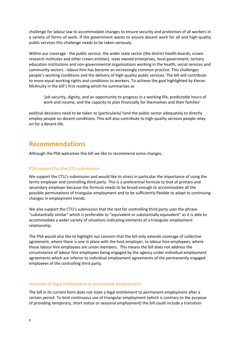challenge for labour law to accommodate changes to ensure security and protection of all workers in a variety of forms of work. If the government wants to ensure decent work for all and high-quality public services this challenge needs to be taken seriously.

Within our coverage - the public service, the wider state sector (the district health boards, crown research institutes and other crown entities), state owned enterprises, local government, tertiary education institutions and non-governmental organisations working in the health, social services and community sectors - labour hire has become an increasingly common practice. This challenges people's working conditions and the delivery of high-quality public services. The bill will contribute to more equal working rights and conditions to workers. To achieve the goal highlighted by Kieran McAnulty in the bill's first reading which he summarises as

'job security, dignity, and an opportunity to progress in a working life, predictable hours of work and income, and the capacity to plan financially for themselves and their families'

political decisions need to be taken to (particularly) fund the public sector adequately to directly employ people on decent conditions. This will also contribute to high-quality services people relay on for a decent life.

### **Recommendations**

Although the PSA welcomes this bill we like to recommend some changes.

#### PSA support for the CTU submission

We support the CTU's submission and would like to stress in particular the importance of using the terms employer and controlling third party. This is a preferential formula to that of primary and secondary employer because the formula needs to be broad enough to accommodate all the possible permutations of triangular employment and to be sufficiently flexible to adapt to continuing changes in employment trends.

We also support the CTU's submission that the test for controlling third party uses the phrase "substantially similar" which is preferable to "equivalent or substantially equivalent" as it is able to accommodate a wider variety of situations indicating elements of a triangular employment relationship.

The PSA would also like to highlight our concern that the bill only extends coverage of collective agreement, where there is one in place with the host employer, to labour hire employees, where those labour hire employees are union members. This means the bill does not address the circumstance of labour hire employees being engaged by the agency under individual employment agreements which are inferior to individual employment agreements of the permanently engaged employees of the controlling third party.

#### Inclusion of legal entitlement to permanent employment

The bill in its current form does not state a legal entitlement to permanent employment after a certain period. To limit continuous use of triangular employment (which is contrary to the purpose of providing temporary, short notice or seasonal employment) the bill could include a transition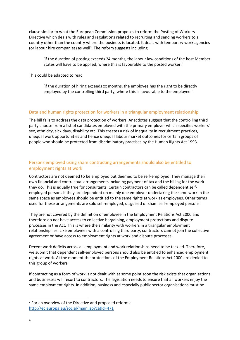clause similar to what the European Commission proposes to reform the Posting of Workers Directive which deals with rules and regulations related to recruiting and sending workers to a country other than the country where the business is located. It deals with temporary work agencies (or labour hire companies) as well<sup>1</sup>. The reform suggests including

'if the duration of posting exceeds 24 months, the labour law conditions of the host Member States will have to be applied, where this is favourable to the posted worker.'

This could be adapted to read

'if the duration of hiring exceeds xx months, the employee has the right to be directly employed by the controlling third party, where this is favourable to the employee.'

#### Data and human rights protection for workers in a triangular employment relationship

The bill fails to address the data protection of workers. Anecdotes suggest that the controlling third party choose from a list of candidates employed with the primary employer which specifies workers' sex, ethnicity, sick days, disability etc. This creates a risk of inequality in recruitment practices, unequal work opportunities and hence unequal labour market outcomes for certain groups of people who should be protected from discriminatory practises by the Human Rights Act 1993.

#### Persons employed using sham contracting arrangements should also be entitled to employment rights at work

Contractors are not deemed to be employed but deemed to be self-employed. They manage their own financial and contractual arrangements including payment of tax and the billing for the work they do. This is equally true for consultants. Certain contractors can be called dependent selfemployed persons if they are dependent on mainly one employer undertaking the same work in the same space as employees should be entitled to the same rights at work as employees. Other terms used for these arrangements are solo self-employed, disguised or sham self-employed persons.

They are not covered by the definition of employee in the Employment Relations Act 2000 and therefore do not have access to collective bargaining, employment protections and dispute processes in the Act. This is where the similarity with workers in a triangular employment relationship lies. Like employees with a controlling third party, contractors cannot join the collective agreement or have access to employment rights at work and dispute processes.

Decent work deficits across all employment and work relationships need to be tackled. Therefore, we submit that dependent self-employed persons should also be entitled to enhanced employment rights at work. At the moment the protections of the Employment Relations Act 2000 are denied to this group of workers.

If contracting as a form of work is not dealt with at some point soon the risk exists that organisations and businesses will resort to contractors. The legislation needs to ensure that all workers enjoy the same employment rights. In addition, business and especially public sector organisations must be

**.** 

 $1$  For an overview of the Directive and proposed reforms: <http://ec.europa.eu/social/main.jsp?catId=471>